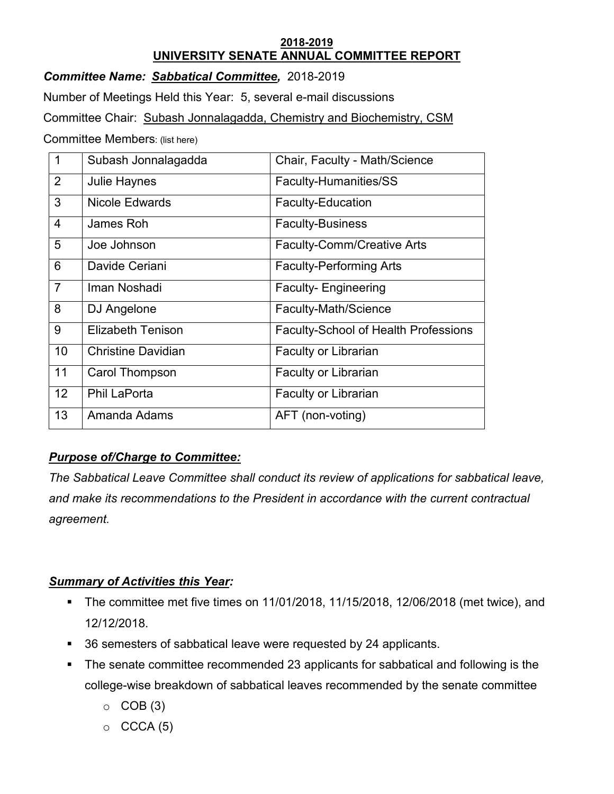### **2018-2019 UNIVERSITY SENATE ANNUAL COMMITTEE REPORT**

*Committee Name: Sabbatical Committee,* 2018-2019

Number of Meetings Held this Year: 5, several e-mail discussions

Committee Chair: Subash Jonnalagadda, Chemistry and Biochemistry, CSM

Committee Members: (list here)

| $\mathbf 1$     | Subash Jonnalagadda       | Chair, Faculty - Math/Science               |
|-----------------|---------------------------|---------------------------------------------|
| 2               | <b>Julie Haynes</b>       | Faculty-Humanities/SS                       |
| 3               | <b>Nicole Edwards</b>     | <b>Faculty-Education</b>                    |
| $\overline{4}$  | James Roh                 | <b>Faculty-Business</b>                     |
| 5               | Joe Johnson               | <b>Faculty-Comm/Creative Arts</b>           |
| 6               | Davide Ceriani            | <b>Faculty-Performing Arts</b>              |
| $\overline{7}$  | Iman Noshadi              | <b>Faculty-Engineering</b>                  |
| 8               | DJ Angelone               | Faculty-Math/Science                        |
| 9               | <b>Elizabeth Tenison</b>  | <b>Faculty-School of Health Professions</b> |
| 10              | <b>Christine Davidian</b> | <b>Faculty or Librarian</b>                 |
| 11              | Carol Thompson            | Faculty or Librarian                        |
| 12 <sup>2</sup> | <b>Phil LaPorta</b>       | <b>Faculty or Librarian</b>                 |
| 13              | Amanda Adams              | AFT (non-voting)                            |

## *Purpose of/Charge to Committee:*

*The Sabbatical Leave Committee shall conduct its review of applications for sabbatical leave, and make its recommendations to the President in accordance with the current contractual agreement.*

# *Summary of Activities this Year:*

- The committee met five times on  $11/01/2018$ ,  $11/15/2018$ ,  $12/06/2018$  (met twice), and 12/12/2018.
- 36 semesters of sabbatical leave were requested by 24 applicants.
- The senate committee recommended 23 applicants for sabbatical and following is the college-wise breakdown of sabbatical leaves recommended by the senate committee
	- $\circ$  COB (3)
	- $\circ$  CCCA (5)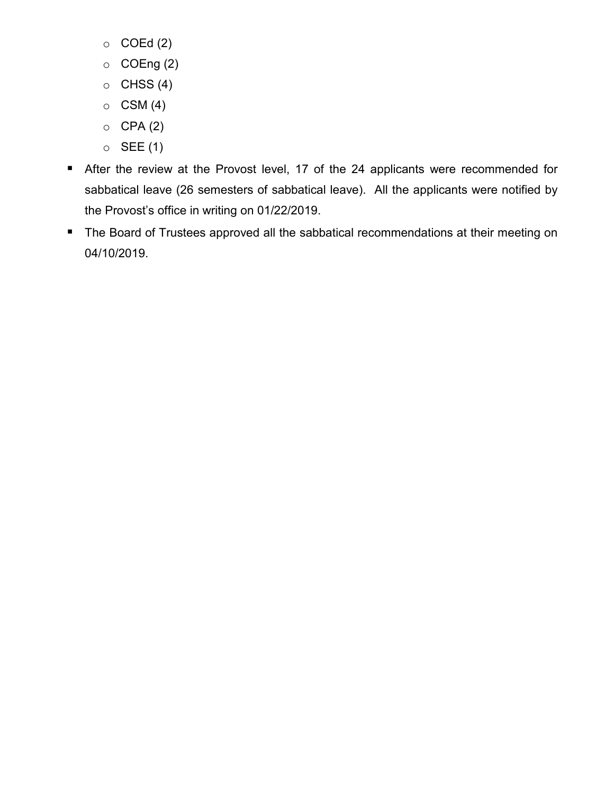- $\circ$  COEd (2)
- $\circ$  COEng (2)
- $\circ$  CHSS (4)
- $\circ$  CSM (4)
- $O$  CPA $(2)$
- $\circ$  SEE (1)
- **After the review at the Provost level, 17 of the 24 applicants were recommended for** sabbatical leave (26 semesters of sabbatical leave). All the applicants were notified by the Provost's office in writing on 01/22/2019.
- **The Board of Trustees approved all the sabbatical recommendations at their meeting on** 04/10/2019.